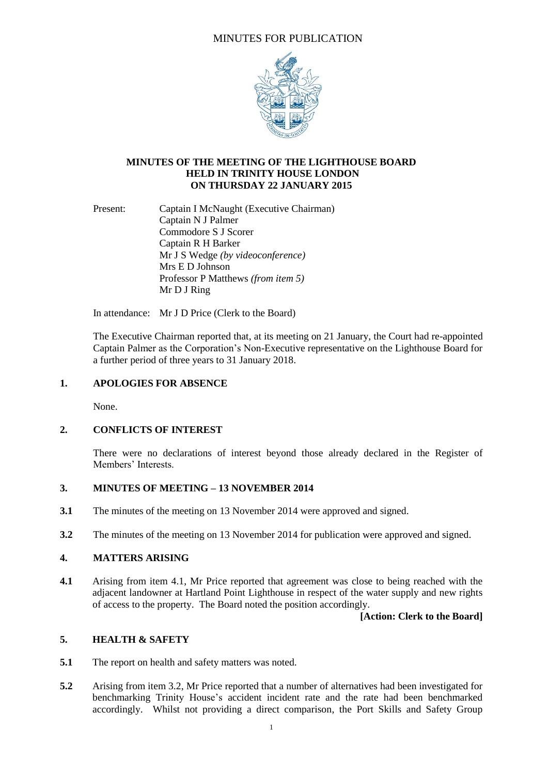# MINUTES FOR PUBLICATION



### **MINUTES OF THE MEETING OF THE LIGHTHOUSE BOARD HELD IN TRINITY HOUSE LONDON ON THURSDAY 22 JANUARY 2015**

Present: Captain I McNaught (Executive Chairman) Captain N J Palmer Commodore S J Scorer Captain R H Barker Mr J S Wedge *(by videoconference)* Mrs E D Johnson Professor P Matthews *(from item 5)* Mr D J Ring

In attendance: Mr J D Price (Clerk to the Board)

The Executive Chairman reported that, at its meeting on 21 January, the Court had re-appointed Captain Palmer as the Corporation's Non-Executive representative on the Lighthouse Board for a further period of three years to 31 January 2018.

#### **1. APOLOGIES FOR ABSENCE**

None.

### **2. CONFLICTS OF INTEREST**

There were no declarations of interest beyond those already declared in the Register of Members' Interests.

### **3. MINUTES OF MEETING – 13 NOVEMBER 2014**

- **3.1** The minutes of the meeting on 13 November 2014 were approved and signed.
- **3.2** The minutes of the meeting on 13 November 2014 for publication were approved and signed.

### **4. MATTERS ARISING**

**4.1** Arising from item 4.1, Mr Price reported that agreement was close to being reached with the adjacent landowner at Hartland Point Lighthouse in respect of the water supply and new rights of access to the property. The Board noted the position accordingly.

#### **[Action: Clerk to the Board]**

## **5. HEALTH & SAFETY**

- **5.1** The report on health and safety matters was noted.
- **5.2** Arising from item 3.2, Mr Price reported that a number of alternatives had been investigated for benchmarking Trinity House's accident incident rate and the rate had been benchmarked accordingly. Whilst not providing a direct comparison, the Port Skills and Safety Group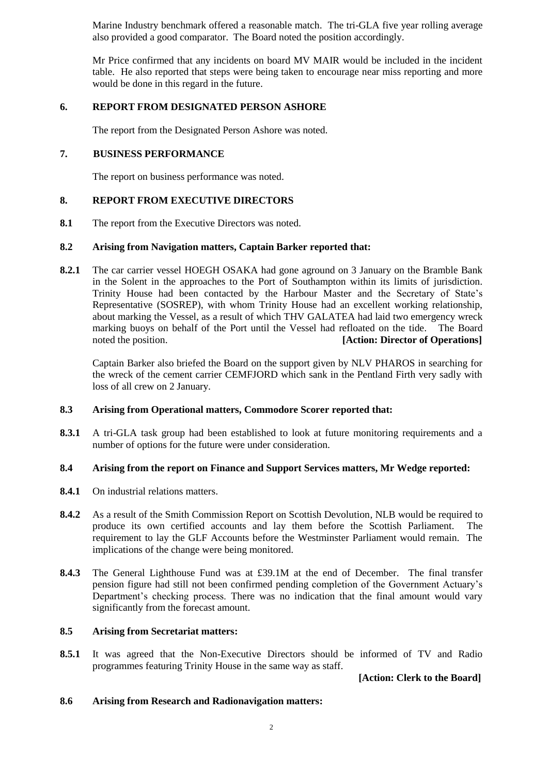Marine Industry benchmark offered a reasonable match. The tri-GLA five year rolling average also provided a good comparator. The Board noted the position accordingly.

Mr Price confirmed that any incidents on board MV MAIR would be included in the incident table. He also reported that steps were being taken to encourage near miss reporting and more would be done in this regard in the future.

## **6. REPORT FROM DESIGNATED PERSON ASHORE**

The report from the Designated Person Ashore was noted.

## **7. BUSINESS PERFORMANCE**

The report on business performance was noted.

## **8. REPORT FROM EXECUTIVE DIRECTORS**

**8.1** The report from the Executive Directors was noted.

### **8.2 Arising from Navigation matters, Captain Barker reported that:**

**8.2.1** The car carrier vessel HOEGH OSAKA had gone aground on 3 January on the Bramble Bank in the Solent in the approaches to the Port of Southampton within its limits of jurisdiction. Trinity House had been contacted by the Harbour Master and the Secretary of State's Representative (SOSREP), with whom Trinity House had an excellent working relationship, about marking the Vessel, as a result of which THV GALATEA had laid two emergency wreck marking buoys on behalf of the Port until the Vessel had refloated on the tide. The Board noted the position. **[Action: Director of Operations]**

Captain Barker also briefed the Board on the support given by NLV PHAROS in searching for the wreck of the cement carrier CEMFJORD which sank in the Pentland Firth very sadly with loss of all crew on 2 January.

### **8.3 Arising from Operational matters, Commodore Scorer reported that:**

**8.3.1** A tri-GLA task group had been established to look at future monitoring requirements and a number of options for the future were under consideration.

### **8.4 Arising from the report on Finance and Support Services matters, Mr Wedge reported:**

- **8.4.1** On industrial relations matters.
- **8.4.2** As a result of the Smith Commission Report on Scottish Devolution, NLB would be required to produce its own certified accounts and lay them before the Scottish Parliament. The requirement to lay the GLF Accounts before the Westminster Parliament would remain. The implications of the change were being monitored.
- **8.4.3** The General Lighthouse Fund was at £39.1M at the end of December. The final transfer pension figure had still not been confirmed pending completion of the Government Actuary's Department's checking process. There was no indication that the final amount would vary significantly from the forecast amount.

### **8.5 Arising from Secretariat matters:**

**8.5.1** It was agreed that the Non-Executive Directors should be informed of TV and Radio programmes featuring Trinity House in the same way as staff.

 **[Action: Clerk to the Board]**

### **8.6 Arising from Research and Radionavigation matters:**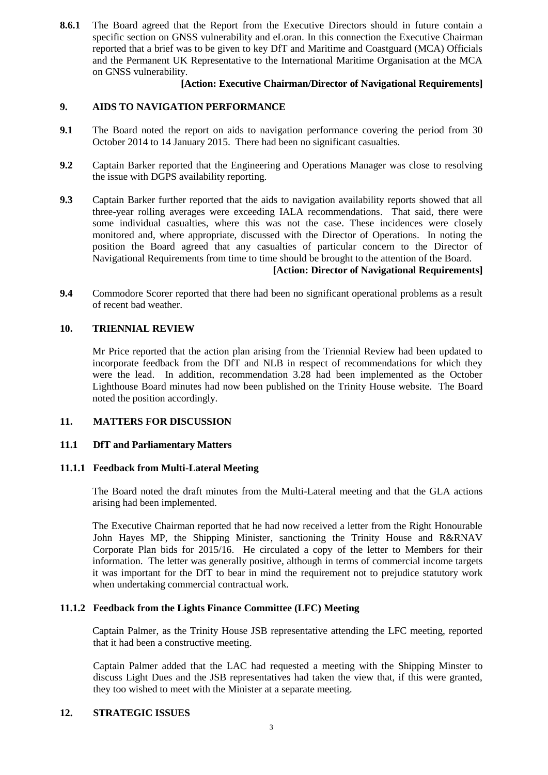**8.6.1** The Board agreed that the Report from the Executive Directors should in future contain a specific section on GNSS vulnerability and eLoran. In this connection the Executive Chairman reported that a brief was to be given to key DfT and Maritime and Coastguard (MCA) Officials and the Permanent UK Representative to the International Maritime Organisation at the MCA on GNSS vulnerability.

### **[Action: Executive Chairman/Director of Navigational Requirements]**

## **9. AIDS TO NAVIGATION PERFORMANCE**

- **9.1** The Board noted the report on aids to navigation performance covering the period from 30 October 2014 to 14 January 2015. There had been no significant casualties.
- **9.2** Captain Barker reported that the Engineering and Operations Manager was close to resolving the issue with DGPS availability reporting.
- **9.3** Captain Barker further reported that the aids to navigation availability reports showed that all three-year rolling averages were exceeding IALA recommendations. That said, there were some individual casualties, where this was not the case. These incidences were closely monitored and, where appropriate, discussed with the Director of Operations. In noting the position the Board agreed that any casualties of particular concern to the Director of Navigational Requirements from time to time should be brought to the attention of the Board.

## **[Action: Director of Navigational Requirements]**

**9.4** Commodore Scorer reported that there had been no significant operational problems as a result of recent bad weather.

#### **10. TRIENNIAL REVIEW**

Mr Price reported that the action plan arising from the Triennial Review had been updated to incorporate feedback from the DfT and NLB in respect of recommendations for which they were the lead. In addition, recommendation 3.28 had been implemented as the October Lighthouse Board minutes had now been published on the Trinity House website. The Board noted the position accordingly.

### **11. MATTERS FOR DISCUSSION**

#### **11.1 DfT and Parliamentary Matters**

#### **11.1.1 Feedback from Multi-Lateral Meeting**

The Board noted the draft minutes from the Multi-Lateral meeting and that the GLA actions arising had been implemented.

The Executive Chairman reported that he had now received a letter from the Right Honourable John Hayes MP, the Shipping Minister, sanctioning the Trinity House and R&RNAV Corporate Plan bids for 2015/16. He circulated a copy of the letter to Members for their information. The letter was generally positive, although in terms of commercial income targets it was important for the DfT to bear in mind the requirement not to prejudice statutory work when undertaking commercial contractual work.

### **11.1.2 Feedback from the Lights Finance Committee (LFC) Meeting**

Captain Palmer, as the Trinity House JSB representative attending the LFC meeting, reported that it had been a constructive meeting.

Captain Palmer added that the LAC had requested a meeting with the Shipping Minster to discuss Light Dues and the JSB representatives had taken the view that, if this were granted, they too wished to meet with the Minister at a separate meeting.

### **12. STRATEGIC ISSUES**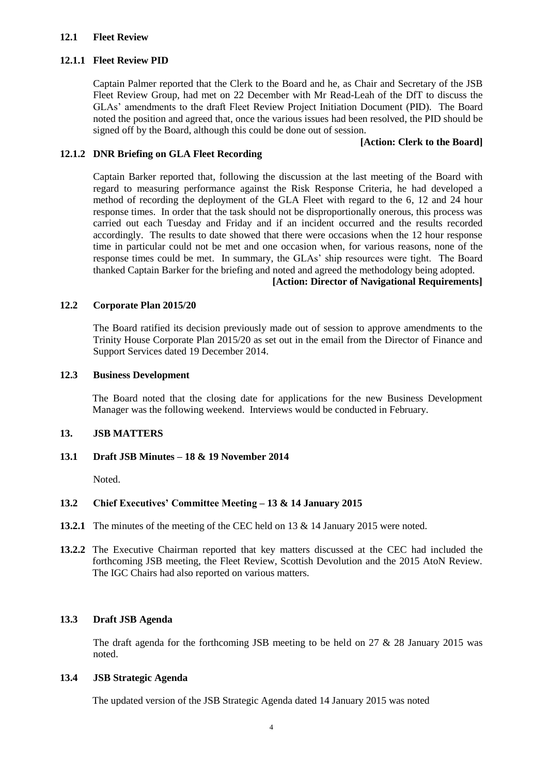### **12.1 Fleet Review**

### **12.1.1 Fleet Review PID**

Captain Palmer reported that the Clerk to the Board and he, as Chair and Secretary of the JSB Fleet Review Group, had met on 22 December with Mr Read-Leah of the DfT to discuss the GLAs' amendments to the draft Fleet Review Project Initiation Document (PID). The Board noted the position and agreed that, once the various issues had been resolved, the PID should be signed off by the Board, although this could be done out of session.

### **[Action: Clerk to the Board]**

#### **12.1.2 DNR Briefing on GLA Fleet Recording**

Captain Barker reported that, following the discussion at the last meeting of the Board with regard to measuring performance against the Risk Response Criteria, he had developed a method of recording the deployment of the GLA Fleet with regard to the 6, 12 and 24 hour response times. In order that the task should not be disproportionally onerous, this process was carried out each Tuesday and Friday and if an incident occurred and the results recorded accordingly. The results to date showed that there were occasions when the 12 hour response time in particular could not be met and one occasion when, for various reasons, none of the response times could be met. In summary, the GLAs' ship resources were tight. The Board thanked Captain Barker for the briefing and noted and agreed the methodology being adopted.

#### **[Action: Director of Navigational Requirements]**

#### **12.2 Corporate Plan 2015/20**

The Board ratified its decision previously made out of session to approve amendments to the Trinity House Corporate Plan 2015/20 as set out in the email from the Director of Finance and Support Services dated 19 December 2014.

#### **12.3 Business Development**

The Board noted that the closing date for applications for the new Business Development Manager was the following weekend. Interviews would be conducted in February.

### **13. JSB MATTERS**

#### **13.1 Draft JSB Minutes – 18 & 19 November 2014**

Noted.

### **13.2 Chief Executives' Committee Meeting – 13 & 14 January 2015**

- **13.2.1** The minutes of the meeting of the CEC held on 13 & 14 January 2015 were noted.
- **13.2.2** The Executive Chairman reported that key matters discussed at the CEC had included the forthcoming JSB meeting, the Fleet Review, Scottish Devolution and the 2015 AtoN Review. The IGC Chairs had also reported on various matters.

### **13.3 Draft JSB Agenda**

The draft agenda for the forthcoming JSB meeting to be held on  $27 \& 28$  January 2015 was noted.

#### **13.4 JSB Strategic Agenda**

The updated version of the JSB Strategic Agenda dated 14 January 2015 was noted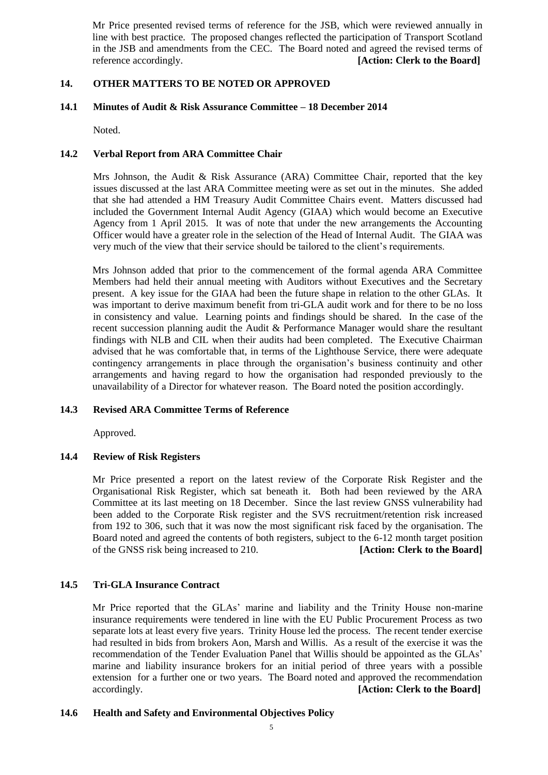Mr Price presented revised terms of reference for the JSB, which were reviewed annually in line with best practice. The proposed changes reflected the participation of Transport Scotland in the JSB and amendments from the CEC. The Board noted and agreed the revised terms of reference accordingly. **[Action: Clerk to the Board]**

### **14. OTHER MATTERS TO BE NOTED OR APPROVED**

### **14.1 Minutes of Audit & Risk Assurance Committee – 18 December 2014**

Noted.

### **14.2 Verbal Report from ARA Committee Chair**

Mrs Johnson, the Audit & Risk Assurance (ARA) Committee Chair, reported that the key issues discussed at the last ARA Committee meeting were as set out in the minutes. She added that she had attended a HM Treasury Audit Committee Chairs event. Matters discussed had included the Government Internal Audit Agency (GIAA) which would become an Executive Agency from 1 April 2015. It was of note that under the new arrangements the Accounting Officer would have a greater role in the selection of the Head of Internal Audit. The GIAA was very much of the view that their service should be tailored to the client's requirements.

Mrs Johnson added that prior to the commencement of the formal agenda ARA Committee Members had held their annual meeting with Auditors without Executives and the Secretary present. A key issue for the GIAA had been the future shape in relation to the other GLAs. It was important to derive maximum benefit from tri-GLA audit work and for there to be no loss in consistency and value. Learning points and findings should be shared. In the case of the recent succession planning audit the Audit & Performance Manager would share the resultant findings with NLB and CIL when their audits had been completed. The Executive Chairman advised that he was comfortable that, in terms of the Lighthouse Service, there were adequate contingency arrangements in place through the organisation's business continuity and other arrangements and having regard to how the organisation had responded previously to the unavailability of a Director for whatever reason. The Board noted the position accordingly.

### **14.3 Revised ARA Committee Terms of Reference**

Approved.

#### **14.4 Review of Risk Registers**

Mr Price presented a report on the latest review of the Corporate Risk Register and the Organisational Risk Register, which sat beneath it. Both had been reviewed by the ARA Committee at its last meeting on 18 December. Since the last review GNSS vulnerability had been added to the Corporate Risk register and the SVS recruitment/retention risk increased from 192 to 306, such that it was now the most significant risk faced by the organisation. The Board noted and agreed the contents of both registers, subject to the 6-12 month target position of the GNSS risk being increased to 210. **[Action: Clerk to the Board]**

### **14.5 Tri-GLA Insurance Contract**

Mr Price reported that the GLAs' marine and liability and the Trinity House non-marine insurance requirements were tendered in line with the EU Public Procurement Process as two separate lots at least every five years. Trinity House led the process. The recent tender exercise had resulted in bids from brokers Aon, Marsh and Willis. As a result of the exercise it was the recommendation of the Tender Evaluation Panel that Willis should be appointed as the GLAs' marine and liability insurance brokers for an initial period of three years with a possible extension for a further one or two years. The Board noted and approved the recommendation accordingly. **[Action: Clerk to the Board]**

#### **14.6 Health and Safety and Environmental Objectives Policy**